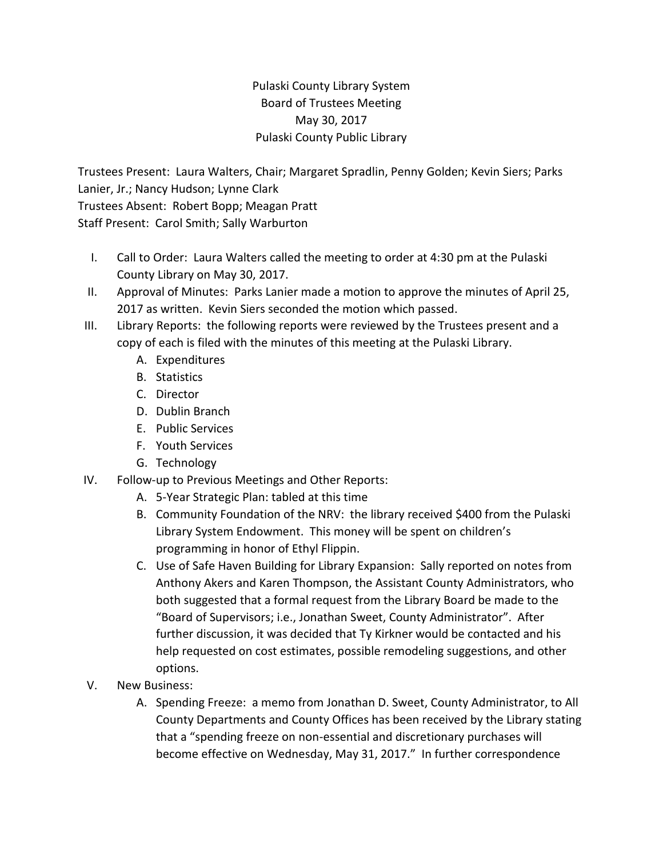## Pulaski County Library System Board of Trustees Meeting May 30, 2017 Pulaski County Public Library

Trustees Present: Laura Walters, Chair; Margaret Spradlin, Penny Golden; Kevin Siers; Parks Lanier, Jr.; Nancy Hudson; Lynne Clark Trustees Absent: Robert Bopp; Meagan Pratt Staff Present: Carol Smith; Sally Warburton

- I. Call to Order: Laura Walters called the meeting to order at 4:30 pm at the Pulaski County Library on May 30, 2017.
- II. Approval of Minutes: Parks Lanier made a motion to approve the minutes of April 25, 2017 as written. Kevin Siers seconded the motion which passed.
- III. Library Reports: the following reports were reviewed by the Trustees present and a copy of each is filed with the minutes of this meeting at the Pulaski Library.
	- A. Expenditures
	- B. Statistics
	- C. Director
	- D. Dublin Branch
	- E. Public Services
	- F. Youth Services
	- G. Technology
- IV. Follow-up to Previous Meetings and Other Reports:
	- A. 5-Year Strategic Plan: tabled at this time
	- B. Community Foundation of the NRV: the library received \$400 from the Pulaski Library System Endowment. This money will be spent on children's programming in honor of Ethyl Flippin.
	- C. Use of Safe Haven Building for Library Expansion: Sally reported on notes from Anthony Akers and Karen Thompson, the Assistant County Administrators, who both suggested that a formal request from the Library Board be made to the "Board of Supervisors; i.e., Jonathan Sweet, County Administrator". After further discussion, it was decided that Ty Kirkner would be contacted and his help requested on cost estimates, possible remodeling suggestions, and other options.
- V. New Business:
	- A. Spending Freeze: a memo from Jonathan D. Sweet, County Administrator, to All County Departments and County Offices has been received by the Library stating that a "spending freeze on non-essential and discretionary purchases will become effective on Wednesday, May 31, 2017." In further correspondence